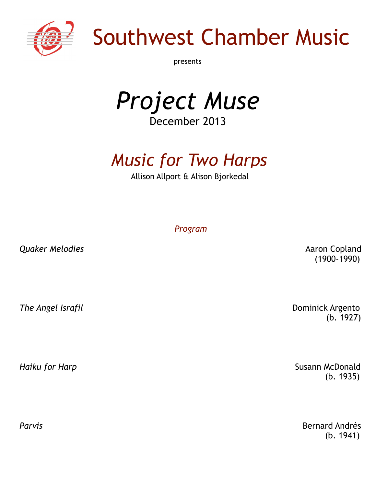

# Southwest Chamber Music

presents

*Project Muse* December 2013

# *Music for Two Harps*

Allison Allport & Alison Bjorkedal

*Program*

*Quaker Melodies* **Absolute 2018 Aaron Copland** 

(1900-1990)

**The Angel Israfil Dominick Argento** 

 $(b. 1927)$ 

*Haiku for Harp* **Susann McDonald Susann McDonald** (b. 1935)

**Parvis Bernard Andrés**  $(b. 1941)$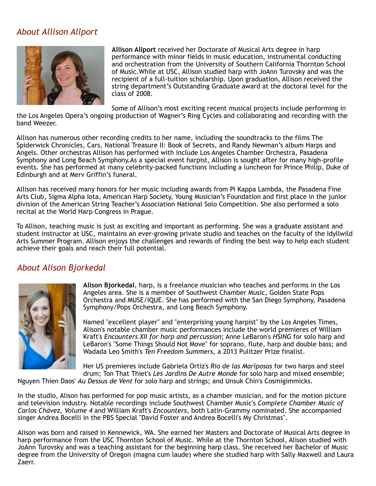#### *About Allison Allport*



**Allison Allport** received her Doctorate of Musical Arts degree in harp performance with minor fields in music education, instrumental conducting and orchestration from the University of Southern California Thornton School of Music.While at USC, Allison studied harp with JoAnn Turovsky and was the recipient of a full-tuition scholarship. Upon graduation, Allison received the string department's Outstanding Graduate award at the doctoral level for the class of 2008.

Some of Allison's most exciting recent musical projects include performing in

the Los Angeles Opera's ongoing production of Wagner's Ring Cycles and collaborating and recording with the band Weezer.

Allison has numerous other recording credits to her name, including the soundtracks to the films The Spiderwick Chronicles, Cars, National Treasure II: Book of Secrets, and Randy Newman's album Harps and Angels. Other orchestras Allison has performed with include Los Angeles Chamber Orchestra, Pasadena Symphony and Long Beach Symphony.As a special event harpist, Allison is sought after for many high-profile events. She has performed at many celebrity-packed functions including a luncheon for Prince Philip, Duke of Edinburgh and at Merv Griffin's funeral.

Allison has received many honors for her music including awards from Pi Kappa Lambda, the Pasadena Fine Arts Club, Sigma Alpha Iota, American Harp Society, Young Musician's Foundation and first place in the junior division of the American String Teacher's Association National Solo Competition. She also performed a solo recital at the World Harp Congress in Prague.

To Allison, teaching music is just as exciting and important as performing. She was a graduate assistant and student instructor at USC, maintains an ever-growing private studio and teaches on the faculty of the Idyllwild Arts Summer Program. Allison enjoys the challenges and rewards of finding the best way to help each student achieve their goals and reach their full potential.

#### *About Alison Bjorkedal*



**Alison Bjorkedal**, harp, is a freelance musician who teaches and performs in the Los Angeles area. She is a member of Southwest Chamber Music, Golden State Pops Orchestra and MUSE/IQUE. She has performed with the San Diego Symphony, Pasadena Symphony/Pops Orchestra, and Long Beach Symphony.

Named "excellent player" and "enterprising young harpist" by the Los Angeles Times, Alison's notable chamber music performances include the world premieres of William Kraft's *Encounters XII for harp and percussion*; Anne LeBaron's *HSING* for solo harp and LeBaron's "Some Things Should Not Move" for soprano, flute, harp and double bass; and Wadada Leo Smith's *Ten Freedom Summers*, a 2013 Pulitzer Prize finalist.

Her US premieres include Gabriela Ortiz's *Rio de las Mariposas* for two harps and steel drum; Ton That Thiet's *Les Jardins De Autre Monde* for solo harp and mixed ensemble;

Nguyen Thien Daos' *Au Dessus de Vent* for solo harp and strings; and Unsuk Chin's Cosmigimmicks.

In the studio, Alison has performed for pop music artists, as a chamber musician, and for the motion picture and television industry. Notable recordings include Southwest Chamber Music's *Complete Chamber Music of Carlos Chávez, Volume 4* and William Kraft's *Encounters*, both Latin-Grammy nominated. She accompanied singer Andrea Bocelli in the PBS Special "David Foster and Andrea Bocelli's My Christmas".

Alison was born and raised in Kennewick, WA. She earned her Masters and Doctorate of Musical Arts degree in harp performance from the USC Thornton School of Music. While at the Thornton School, Alison studied with JoAnn Turovsky and was a teaching assistant for the beginning harp class. She received her Bachelor of Music degree from the University of Oregon (magna cum laude) where she studied harp with Sally Maxwell and Laura Zaerr.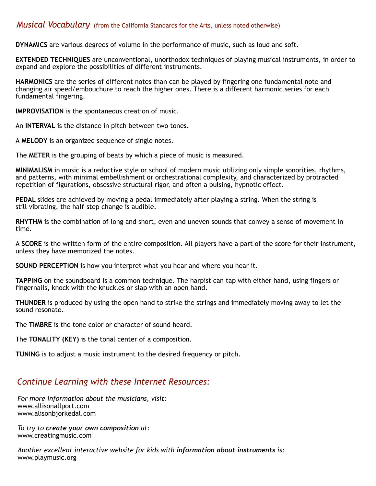#### *Musical Vocabulary* (from the California Standards for the Arts, unless noted otherwise)

**DYNAMICS** are various degrees of volume in the performance of music, such as loud and soft.

**EXTENDED TECHNIQUES** are unconventional, unorthodox techniques of playing musical instruments, in order to expand and explore the possibilities of different instruments.

**HARMONICS** are the series of different notes than can be played by fingering one fundamental note and changing air speed/embouchure to reach the higher ones. There is a different harmonic series for each fundamental fingering.

**IMPROVISATION** is the spontaneous creation of music.

An **INTERVAL** is the distance in pitch between two tones.

A **MELODY** is an organized sequence of single notes.

The **METER** is the grouping of beats by which a piece of music is measured.

**MINIMALISM** in music is a reductive style or school of modern music utilizing only simple sonorities, rhythms, and patterns, with minimal embellishment or orchestrational complexity, and characterized by protracted repetition of figurations, obsessive structural rigor, and often a pulsing, hypnotic effect.

**PEDAL** slides are achieved by moving a pedal immediately after playing a string. When the string is still vibrating, the half-step change is audible.

**RHYTHM** is the combination of long and short, even and uneven sounds that convey a sense of movement in time.

A **SCORE** is the written form of the entire composition. All players have a part of the score for their instrument, unless they have memorized the notes.

**SOUND PERCEPTION** is how you interpret what you hear and where you hear it.

**TAPPING** on the soundboard is a common technique. The harpist can tap with either hand, using fingers or fingernails, knock with the knuckles or slap with an open hand.

**THUNDER** is produced by using the open hand to strike the strings and immediately moving away to let the sound resonate.

The **TIMBRE** is the tone color or character of sound heard.

The **TONALITY (KEY)** is the tonal center of a composition.

**TUNING** is to adjust a music instrument to the desired frequency or pitch.

#### *Continue Learning with these Internet Resources:*

*For more information about the musicians, visit:*  www.allisonallport.com www.alisonbjorkedal.com

*To try to create your own composition at:* www.creatingmusic.com

*Another excellent interactive website for kids with information about instruments is:*  www.playmusic.org